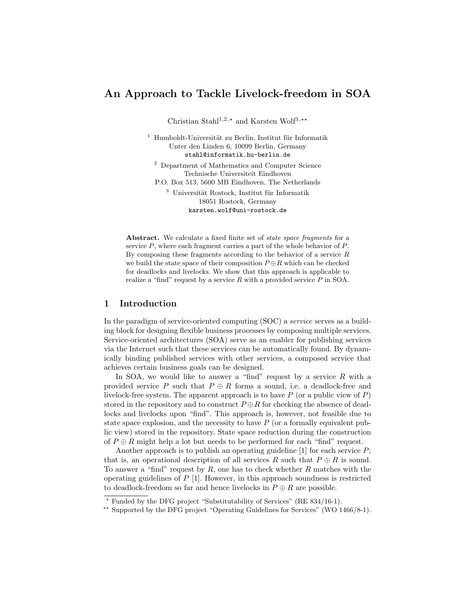# An Approach to Tackle Livelock-freedom in SOA

Christian Stahl<sup>1,2,\*</sup> and Karsten Wolf<sup>3,\*\*</sup>

 $1$  Humboldt-Universität zu Berlin, Institut für Informatik Unter den Linden 6, 10099 Berlin, Germany stahl@informatik.hu-berlin.de

<sup>2</sup> Department of Mathematics and Computer Science Technische Universiteit Eindhoven

P.O. Box 513, 5600 MB Eindhoven, The Netherlands  $3$  Universität Rostock, Institut für Informatik 18051 Rostock, Germany karsten.wolf@uni-rostock.de

Abstract. We calculate a fixed finite set of *state space fragments* for a service  $P$ , where each fragment carries a part of the whole behavior of  $P$ . By composing these fragments according to the behavior of a service  $R$ we build the state space of their composition  $P \oplus R$  which can be checked for deadlocks and livelocks. We show that this approach is applicable to realize a "find" request by a service  $R$  with a provided service  $P$  in SOA.

# 1 Introduction

In the paradigm of service-oriented computing (SOC) a service serves as a building block for designing flexible business processes by composing multiple services. Service-oriented architectures (SOA) serve as an enabler for publishing services via the Internet such that these services can be automatically found. By dynamically binding published services with other services, a composed service that achieves certain business goals can be designed.

In SOA, we would like to answer a "find" request by a service  $R$  with a provided service P such that  $P \oplus R$  forms a sound, i.e. a deadlock-free and livelock-free system. The apparent approach is to have  $P$  (or a public view of  $P$ ) stored in the repository and to construct  $P \oplus R$  for checking the absence of deadlocks and livelocks upon "find". This approach is, however, not feasible due to state space explosion, and the necessity to have  $P$  (or a formally equivalent public view) stored in the repository. State space reduction during the construction of  $P \oplus R$  might help a lot but needs to be performed for each "find" request.

Another approach is to publish an operating guideline  $[1]$  for each service  $P$ ; that is, an operational description of all services R such that  $P \oplus R$  is sound. To answer a "find" request by  $R$ , one has to check whether  $R$  matches with the operating guidelines of  $P$  [1]. However, in this approach soundness is restricted to deadlock-freedom so far and hence livelocks in  $P \oplus R$  are possible.

<sup>?</sup> Funded by the DFG project "Substitutability of Services" (RE 834/16-1).

<sup>\*\*</sup> Supported by the DFG project "Operating Guidelines for Services" (WO  $1466/8-1$ ).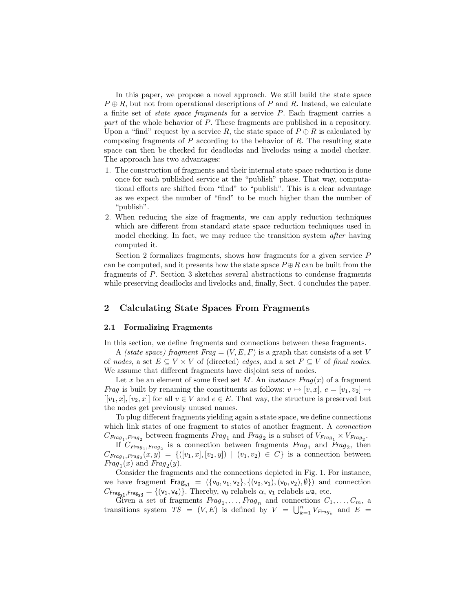In this paper, we propose a novel approach. We still build the state space  $P \oplus R$ , but not from operational descriptions of P and R. Instead, we calculate a finite set of state space fragments for a service P. Each fragment carries a part of the whole behavior of P. These fragments are published in a repository. Upon a "find" request by a service R, the state space of  $P \oplus R$  is calculated by composing fragments of  $P$  according to the behavior of  $R$ . The resulting state space can then be checked for deadlocks and livelocks using a model checker. The approach has two advantages:

- 1. The construction of fragments and their internal state space reduction is done once for each published service at the "publish" phase. That way, computational efforts are shifted from "find" to "publish". This is a clear advantage as we expect the number of "find" to be much higher than the number of "publish".
- 2. When reducing the size of fragments, we can apply reduction techniques which are different from standard state space reduction techniques used in model checking. In fact, we may reduce the transition system *after* having computed it.

Section 2 formalizes fragments, shows how fragments for a given service P can be computed, and it presents how the state space  $P \oplus R$  can be built from the fragments of P. Section 3 sketches several abstractions to condense fragments while preserving deadlocks and livelocks and, finally, Sect. 4 concludes the paper.

## 2 Calculating State Spaces From Fragments

### 2.1 Formalizing Fragments

In this section, we define fragments and connections between these fragments.

A *(state space) fragment Frag* =  $(V, E, F)$  is a graph that consists of a set V of nodes, a set  $E \subseteq V \times V$  of (directed) edges, and a set  $F \subseteq V$  of final nodes. We assume that different fragments have disjoint sets of nodes.

Let x be an element of some fixed set M. An *instance Fraq(x)* of a fragment Frag is built by renaming the constituents as follows:  $v \mapsto [v, x], e = [v_1, v_2] \mapsto$  $[[v_1, x], [v_2, x]]$  for all  $v \in V$  and  $e \in E$ . That way, the structure is preserved but the nodes get previously unused names.

To plug different fragments yielding again a state space, we define connections which link states of one fragment to states of another fragment. A *connection*  $C_{Frag_1, Frag_2}$  between fragments  $Frag_1$  and  $Frag_2$  is a subset of  $V_{Frag_1} \times V_{Frag_2}$ .

If  $C_{Frag_1,Frag_2}$  is a connection between fragments  $Frag_1$  and  $Frag_2$ , then  $C_{Frag_1, Frag_2}(x, y) = \{([v_1, x], [v_2, y]) \mid (v_1, v_2) \in C\}$  is a connection between  $Frag_1(x)$  and  $Frag_2(y)$ .

Consider the fragments and the connections depicted in Fig. 1. For instance, we have fragment  $Frag_{s1} = (\{v_0, v_1, v_2\}, \{(v_0, v_1), (v_0, v_2), \emptyset\})$  and connection  $C_{\text{Frag}_{s1},\text{Frag}_{s3}} = \{(\mathsf{v}_1,\mathsf{v}_4)\}\.$  Thereby,  $\mathsf{v}_0$  relabels  $\alpha$ ,  $\mathsf{v}_1$  relabels  $\omega$ a, etc.

Given a set of fragments  $Frag_1, \ldots, Frag_n$  and connections  $C_1, \ldots, C_m$ , a transitions system  $TS = (V, E)$  is defined by  $V = \bigcup_{k=1}^{n} V_{Frag_k}$  and  $E =$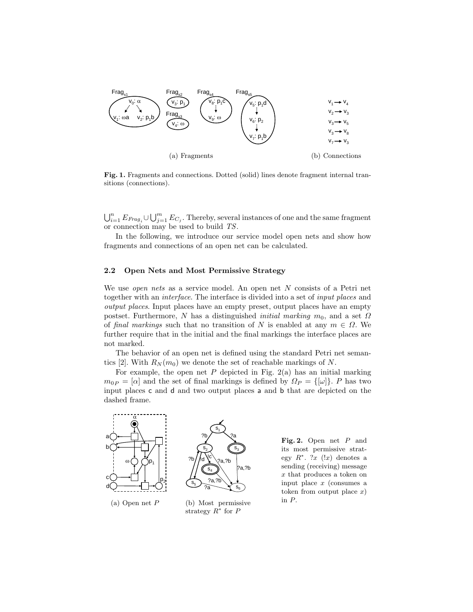

Fig. 1. Fragments and connections. Dotted (solid) lines denote fragment internal transitions (connections).

 $\bigcup_{i=1}^n E_{Frag_i} \cup \bigcup_{j=1}^m E_{C_j}$ . Thereby, several instances of one and the same fragment or connection may be used to build TS.

In the following, we introduce our service model open nets and show how fragments and connections of an open net can be calculated.

#### 2.2 Open Nets and Most Permissive Strategy

We use *open nets* as a service model. An open net  $N$  consists of a Petri net together with an interface. The interface is divided into a set of input places and output places. Input places have an empty preset, output places have an empty postset. Furthermore, N has a distinguished *initial marking*  $m_0$ , and a set  $\Omega$ of final markings such that no transition of N is enabled at any  $m \in \Omega$ . We further require that in the initial and the final markings the interface places are not marked.

The behavior of an open net is defined using the standard Petri net semantics [2]. With  $R_N(m_0)$  we denote the set of reachable markings of N.

For example, the open net  $P$  depicted in Fig. 2(a) has an initial marking  $m_{0P} = [\alpha]$  and the set of final markings is defined by  $\Omega_P = {\{\omega\}}$ . P has two input places **c** and **d** and two output places **a** and **b** that are depicted on the dashed frame. dashed frame.



strategy  $R^*$  for  $\overline{P}$ 

n3 egy  $R^*$ . ?x (!x) denotes a ?a ?b its most permissive strat-Fig. 2. Open net  $P$  and sending (receiving) message  $\frac{x}{\text{ input place } x \text{ (consumes a)}}$  $x$  that produces a token on token from output place  $x$ ) in P.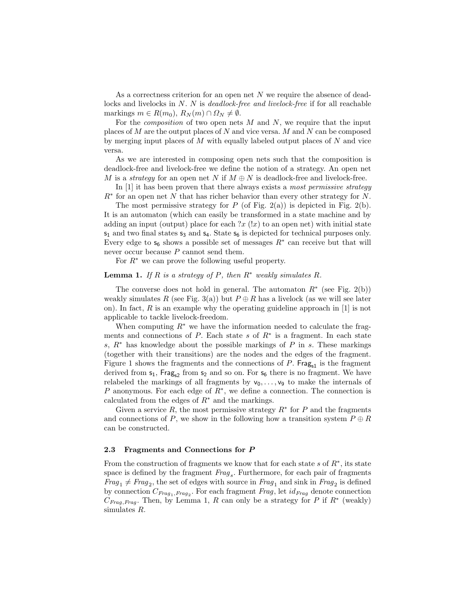As a correctness criterion for an open net N we require the absence of deadlocks and livelocks in N. N is *deadlock-free and livelock-free* if for all reachable markings  $m \in R(m_0), R_N(m) \cap \Omega_N \neq \emptyset$ .

For the *composition* of two open nets  $M$  and  $N$ , we require that the input places of  $M$  are the output places of  $N$  and vice versa.  $M$  and  $N$  can be composed by merging input places of  $M$  with equally labeled output places of  $N$  and vice versa.

As we are interested in composing open nets such that the composition is deadlock-free and livelock-free we define the notion of a strategy. An open net M is a strategy for an open net N if  $M \oplus N$  is deadlock-free and livelock-free.

In  $[1]$  it has been proven that there always exists a most permissive strategy  $R<sup>*</sup>$  for an open net N that has richer behavior than every other strategy for N.

The most permissive strategy for P (of Fig. 2(a)) is depicted in Fig. 2(b). It is an automaton (which can easily be transformed in a state machine and by adding an input (output) place for each  $x(x)$  to an open net) with initial state  $s_1$  and two final states  $s_3$  and  $s_4$ . State  $s_6$  is depicted for technical purposes only. Every edge to  $s_6$  shows a possible set of messages  $R^*$  can receive but that will never occur because P cannot send them.

For  $R^*$  we can prove the following useful property.

#### **Lemma 1.** If R is a strategy of P, then  $R^*$  weakly simulates R.

The converse does not hold in general. The automaton  $R^*$  (see Fig. 2(b)) weakly simulates R (see Fig. 3(a)) but  $P \oplus R$  has a livelock (as we will see later on). In fact, R is an example why the operating guideline approach in  $[1]$  is not applicable to tackle livelock-freedom.

When computing  $R^*$  we have the information needed to calculate the fragments and connections of  $P$ . Each state  $s$  of  $R^*$  is a fragment. In each state s,  $R^*$  has knowledge about the possible markings of P in s. These markings (together with their transitions) are the nodes and the edges of the fragment. Figure 1 shows the fragments and the connections of  $P$ . Frag<sub>s1</sub> is the fragment derived from  $s_1$ , Frag<sub>s2</sub> from  $s_2$  and so on. For  $s_6$  there is no fragment. We have relabeled the markings of all fragments by  $v_0, \ldots, v_9$  to make the internals of P anonymous. For each edge of  $R^*$ , we define a connection. The connection is calculated from the edges of  $R^*$  and the markings.

Given a service  $R$ , the most permissive strategy  $R^*$  for  $P$  and the fragments and connections of P, we show in the following how a transition system  $P \oplus R$ can be constructed.

#### 2.3 Fragments and Connections for P

From the construction of fragments we know that for each state  $s$  of  $R^*$ , its state space is defined by the fragment  $Frag_s$ . Furthermore, for each pair of fragments  $Frag_1 \neq Frag_2$ , the set of edges with source in  $Frag_1$  and sink in  $Frag_2$  is defined by connection  $C_{Frag_1,Frag_2}$ . For each fragment  $Frag$ , let  $id_{Frag}$  denote connection  $C_{Frag, Frag}$ . Then, by Lemma 1, R can only be a strategy for P if  $R^*$  (weakly) simulates R.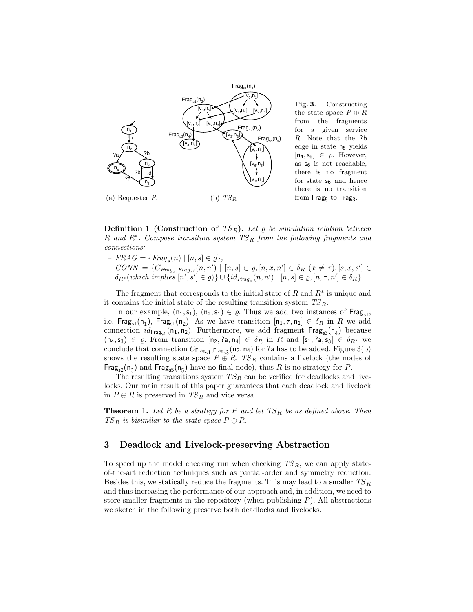

Fig. 3. Constructing the state space  $P \oplus R$ from the fragments for a given service R. Note that the ?b edge in state n<sup>5</sup> yields  $[n_4, s_6] \in \rho$ . However, as  $s_6$  is not reachable, there is no fragment for state  $s_6$  and hence there is no transition from  $\mathsf{Frag}_5$  to  $\mathsf{Frag}_3.$ 

**Definition 1 (Construction of**  $TS_R$ ). Let  $\varrho$  be simulation relation between R and  $R^*$ . Compose transition system  $TS_R$  from the following fragments and connections:

- $FRAG = \{Frag_s(n) | [n, s] \in \varrho\},\$
- $-$  CONN = { $C_{Frag_s,Frag_{s'}}(n,n') | [n,s] \in \varrho, [n,x,n'] \in \delta_R$   $(x \neq \tau), [s,x,s'] \in \delta_{R_{\tau}}(which implies [n', s'] \in \varrho)$ } | | { $id_{R_{\tau\tau}}$ ,  $(n,n') | [n,s] \in \varrho, [n, \tau, n'] \in \delta_R$ }  $\delta_{R^*}(\text{which implies } [n', s'] \in \varrho) \} \cup \{id_{Frag_s}(n, n') \mid [n, s] \in \varrho, [n, \tau, n'] \in \delta_R \}$

The fragment that corresponds to the initial state of  $R$  and  $R^*$  is unique and it contains the initial state of the resulting transition system  $\mathit{TS}_R.$ 

In our example,  $(n_1, s_1)$ ,  $(n_2, s_1) \in \varrho$ . Thus we add two instances of Frag<sub>s1</sub>, i.e.  $\textsf{Frag}_{s1}(n_1)$ ,  $\textsf{Frag}_{s1}(n_2)$ . As we have transition  $[n_1, \tau, n_2] \in \delta_R$  in  $R$  we add connection  $id_{\text{Frag}_{s1}}(n_1, n_2)$ . Furthermore, we add fragment  $\text{Frag}_{s3}(n_4)$  because  $(n_4, s_3) \in \varrho$ . From transition  $[n_2, ?a, n_4] \in \delta_R$  in R and  $[s_1, ?a, s_3] \in \delta_{R^*}$  we conclude that connection  $C_{\mathsf{Frag}_{\mathsf{S1}},\mathsf{Frag}_{\mathsf{S3}}}(\mathsf{n}_2,\mathsf{n}_4)$  for ?a has to be added. Figure 3(b) shows the resulting state space  $P \oplus R$ . TS<sub>R</sub> contains a livelock (the nodes of  $\mathsf{Frag}_{s2}(n_3)$  and  $\mathsf{Frag}_{s5}(n_5)$  have no final node), thus R is no strategy for P.

The resulting transitions system  $TS_R$  can be verified for deadlocks and livelocks. Our main result of this paper guarantees that each deadlock and livelock in  $P \oplus R$  is preserved in  $TS_R$  and vice versa.

**Theorem 1.** Let R be a strategy for P and let  $TS_R$  be as defined above. Then  $TS_R$  is bisimilar to the state space  $P \oplus R$ .

# 3 Deadlock and Livelock-preserving Abstraction

To speed up the model checking run when checking  $TS_R$ , we can apply stateof-the-art reduction techniques such as partial-order and symmetry reduction. Besides this, we statically reduce the fragments. This may lead to a smaller  $TS_R$ and thus increasing the performance of our approach and, in addition, we need to store smaller fragments in the repository (when publishing  $P$ ). All abstractions we sketch in the following preserve both deadlocks and livelocks.